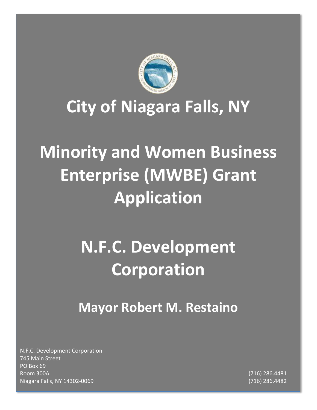

## **City of Niagara Falls, NY**

# **Minority and Women Business Enterprise (MWBE) Grant Application**

# **N.F.C. Development Corporation**

## **Mayor Robert M. Restaino**

N.F.C. Development Corporation 745 Main Street PO Box 69 Room 300A (716) 286.4481 Niagara Falls, NY 14302-0069 (716) 286.4482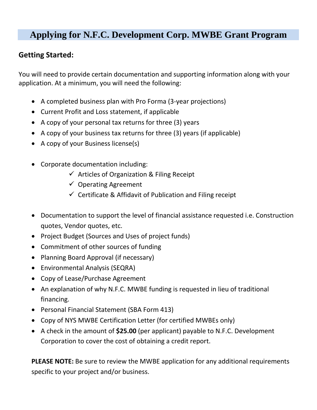## **Applying for N.F.C. Development Corp. MWBE Grant Program**

### **Getting Started:**

You will need to provide certain documentation and supporting information along with your application. At a minimum, you will need the following:

- A completed business plan with Pro Forma (3-year projections)
- Current Profit and Loss statement, if applicable
- A copy of your personal tax returns for three (3) years
- A copy of your business tax returns for three (3) years (if applicable)
- A copy of your Business license(s)
- Corporate documentation including:
	- $\checkmark$  Articles of Organization & Filing Receipt
	- $\checkmark$  Operating Agreement
	- $\checkmark$  Certificate & Affidavit of Publication and Filing receipt
- Documentation to support the level of financial assistance requested i.e. Construction quotes, Vendor quotes, etc.
- Project Budget (Sources and Uses of project funds)
- Commitment of other sources of funding
- Planning Board Approval (if necessary)
- Environmental Analysis (SEQRA)
- Copy of Lease/Purchase Agreement
- An explanation of why N.F.C. MWBE funding is requested in lieu of traditional financing.
- Personal Financial Statement (SBA Form 413)
- Copy of NYS MWBE Certification Letter (for certified MWBEs only)
- A check in the amount of **\$25.00** (per applicant) payable to N.F.C. Development Corporation to cover the cost of obtaining a credit report.

**PLEASE NOTE:** Be sure to review the MWBE application for any additional requirements specific to your project and/or business.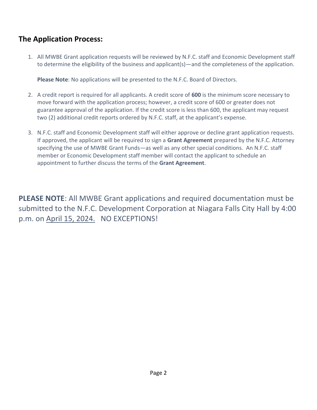### **The Application Process:**

1. All MWBE Grant application requests will be reviewed by N.F.C. staff and Economic Development staff to determine the eligibility of the business and applicant(s)—and the completeness of the application.

**Please Note**: No applications will be presented to the N.F.C. Board of Directors.

- 2. A credit report is required for all applicants. A credit score of **600** is the minimum score necessary to move forward with the application process; however, a credit score of 600 or greater does not guarantee approval of the application. If the credit score is less than 600, the applicant may request two (2) additional credit reports ordered by N.F.C. staff, at the applicant's expense.
- 3. N.F.C. staff and Economic Development staff will either approve or decline grant application requests. If approved, the applicant will be required to sign a **Grant Agreement** prepared by the N.F.C. Attorney specifying the use of MWBE Grant Funds—as well as any other special conditions. An N.F.C. staff member or Economic Development staff member will contact the applicant to schedule an appointment to further discuss the terms of the **Grant Agreement**.

**PLEASE NOTE**: All MWBE Grant applications and required documentation must be submitted to the N.F.C. Development Corporation at Niagara Falls City Hall by 4:00 p.m. on April 15, 2024. NO EXCEPTIONS!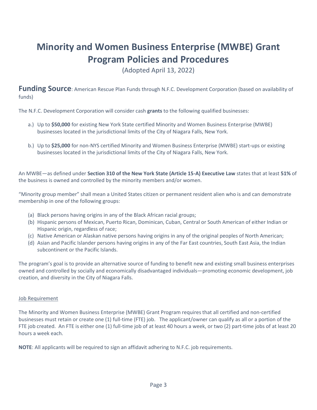## **Minority and Women Business Enterprise (MWBE) Grant Program Policies and Procedures**

(Adopted April 13, 2022)

**Funding Source**: American Rescue Plan Funds through N.F.C. Development Corporation (based on availability of funds)

The N.F.C. Development Corporation will consider cash **grants** to the following qualified businesses:

- a.) Up to **\$50,000** for existing New York State certified Minority and Women Business Enterprise (MWBE) businesses located in the jurisdictional limits of the City of Niagara Falls, New York.
- b.) Up to **\$25,000** for non-NYS certified Minority and Women Business Enterprise (MWBE) start-ups or existing businesses located in the jurisdictional limits of the City of Niagara Falls, New York.

An MWBE—as defined under **Section 310 of the New York State (Article 15-A) Executive Law** states that at least **51%** of the business is owned and controlled by the minority members and/or women.

"Minority group member" shall mean a United States citizen or permanent resident alien who is and can demonstrate membership in one of the following groups:

- (a) Black persons having origins in any of the Black African racial groups;
- (b) Hispanic persons of Mexican, Puerto Rican, Dominican, Cuban, Central or South American of either Indian or Hispanic origin, regardless of race;
- (c) Native American or Alaskan native persons having origins in any of the original peoples of North American;
- (d) Asian and Pacific Islander persons having origins in any of the Far East countries, South East Asia, the Indian subcontinent or the Pacific Islands.

The program's goal is to provide an alternative source of funding to benefit new and existing small business enterprises owned and controlled by socially and economically disadvantaged individuals—promoting economic development, job creation, and diversity in the City of Niagara Falls.

#### Job Requirement

The Minority and Women Business Enterprise (MWBE) Grant Program requires that all certified and non-certified businesses must retain or create one (1) full-time (FTE) job. The applicant/owner can qualify as all or a portion of the FTE job created. An FTE is either one (1) full-time job of at least 40 hours a week, or two (2) part-time jobs of at least 20 hours a week each.

**NOTE**: All applicants will be required to sign an affidavit adhering to N.F.C. job requirements.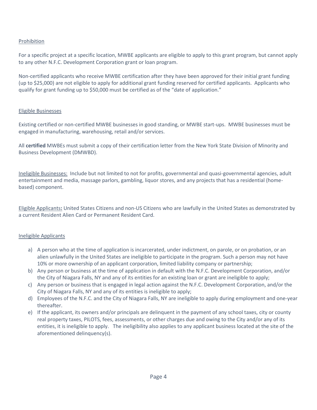#### Prohibition

For a specific project at a specific location, MWBE applicants are eligible to apply to this grant program, but cannot apply to any other N.F.C. Development Corporation grant or loan program.

Non-certified applicants who receive MWBE certification after they have been approved for their initial grant funding (up to \$25,000) are not eligible to apply for additional grant funding reserved for certified applicants. Applicants who qualify for grant funding up to \$50,000 must be certified as of the "date of application."

#### Eligible Businesses

Existing certified or non-certified MWBE businesses in good standing, or MWBE start-ups. MWBE businesses must be engaged in manufacturing, warehousing, retail and/or services.

All **certified** MWBEs must submit a copy of their certification letter from the New York State Division of Minority and Business Development (DMWBD).

Ineligible Businesses: Include but not limited to not for profits, governmental and quasi-governmental agencies, adult entertainment and media, massage parlors, gambling, liquor stores, and any projects that has a residential (homebased) component.

Eligible Applicants**:** United States Citizens and non-US Citizens who are lawfully in the United States as demonstrated by a current Resident Alien Card or Permanent Resident Card.

#### Ineligible Applicants

- a) A person who at the time of application is incarcerated, under indictment, on parole, or on probation, or an alien unlawfully in the United States are ineligible to participate in the program. Such a person may not have 10% or more ownership of an applicant corporation, limited liability company or partnership;
- b) Any person or business at the time of application in default with the N.F.C. Development Corporation, and/or the City of Niagara Falls, NY and any of its entities for an existing loan or grant are ineligible to apply;
- c) Any person or business that is engaged in legal action against the N.F.C. Development Corporation, and/or the City of Niagara Falls, NY and any of its entities is ineligible to apply;
- d) Employees of the N.F.C. and the City of Niagara Falls, NY are ineligible to apply during employment and one-year thereafter.
- e) If the applicant, its owners and/or principals are delinquent in the payment of any school taxes, city or county real property taxes, PILOTS, fees, assessments, or other charges due and owing to the City and/or any of its entities, it is ineligible to apply. The ineligibility also applies to any applicant business located at the site of the aforementioned delinquency(s).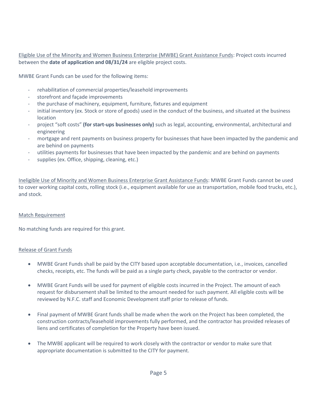Eligible Use of the Minority and Women Business Enterprise (MWBE) Grant Assistance Funds: Project costs incurred between the **date of application and 08/31/24** are eligible project costs.

MWBE Grant Funds can be used for the following items:

- rehabilitation of commercial properties/leasehold improvements
- storefront and façade improvements
- the purchase of machinery, equipment, furniture, fixtures and equipment
- initial inventory (ex. Stock or store of goods) used in the conduct of the business, and situated at the business location
- project "soft costs" **(for start-ups businesses only)** such as legal, accounting, environmental, architectural and engineering
- mortgage and rent payments on business property for businesses that have been impacted by the pandemic and are behind on payments
- utilities payments for businesses that have been impacted by the pandemic and are behind on payments
- supplies (ex. Office, shipping, cleaning, etc.)

Ineligible Use of Minority and Women Business Enterprise Grant Assistance Funds: MWBE Grant Funds cannot be used to cover working capital costs, rolling stock (i.e., equipment available for use as transportation, mobile food trucks, etc.), and stock.

#### Match Requirement

No matching funds are required for this grant.

#### Release of Grant Funds

- MWBE Grant Funds shall be paid by the CITY based upon acceptable documentation, i.e., invoices, cancelled checks, receipts, etc. The funds will be paid as a single party check, payable to the contractor or vendor.
- MWBE Grant Funds will be used for payment of eligible costs incurred in the Project. The amount of each request for disbursement shall be limited to the amount needed for such payment. All eligible costs will be reviewed by N.F.C. staff and Economic Development staff prior to release of funds.
- Final payment of MWBE Grant funds shall be made when the work on the Project has been completed, the construction contracts/leasehold improvements fully performed, and the contractor has provided releases of liens and certificates of completion for the Property have been issued.
- The MWBE applicant will be required to work closely with the contractor or vendor to make sure that appropriate documentation is submitted to the CITY for payment.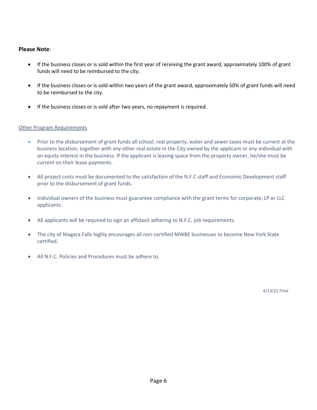#### **Please Note**:

- If the business closes or is sold within the first year of receiving the grant award, approximately 100% of grant funds will need to be reimbursed to the city.
- If the business closes or is sold within two years of the grant award, approximately 50% of grant funds will need to be reimbursed to the city.
- If the business closes or is sold after two years, no repayment is required.

#### Other Program Requirements

- Prior to the disbursement of grant funds all school, real property, water and sewer taxes must be current at the business location, together with any other real estate in the City owned by the applicant or any individual with an equity interest in the business. If the applicant is leasing space from the property owner, he/she must be current on their lease payments.
- All project costs must be documented to the satisfaction of the N.F.C staff and Economic Development staff prior to the disbursement of grant funds.
- Individual owners of the business must guarantee compliance with the grant terms for corporate, LP or LLC applicants.
- All applicants will be required to sign an affidavit adhering to N.F.C. job requirements.
- The city of Niagara Falls highly encourages all non-certified MWBE businesses to become New York State certified.
- All N.F.C. Policies and Procedures must be adhere to.

4/13/22 Final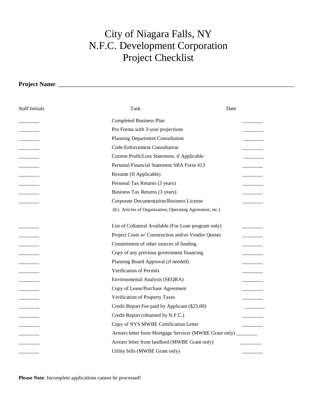## City of Niagara Falls, NY N.F.C. Development Corporation Project Checklist

**Project Name**: \_\_\_\_\_\_\_\_\_\_\_\_\_\_\_\_\_\_\_\_\_\_\_\_\_\_\_\_\_\_\_\_\_\_\_\_\_\_\_\_\_\_\_\_\_\_\_\_\_\_\_\_\_\_\_\_\_\_\_\_\_\_\_\_\_\_\_\_\_\_\_\_\_\_\_\_ Staff Initials Task Date Completed Business Plan Pro Forma with 3-year projections Planning Department Consultation \_\_\_\_\_\_\_\_ Code Enforcement Consultation \_\_\_\_\_\_\_\_ Current Profit/Loss Statement, if Applicable Personal Financial Statement SBA Form 413 Resume (If Applicable) Personal Tax Returns (3 years) Business Tax Returns (3 years) \_\_\_\_\_\_\_\_ Corporate Documentation/Business License \_\_\_\_\_\_\_\_ (Ex. Articles of Organization, Operating Agreement, etc.) List of Collateral Available (For Loan program only) Project Costs w/ Construction and/or Vendor Quotes Commitment of other sources of funding Copy of any previous government financing Planning Board Approval (if needed) Verification of Permits Environmental Analysis (SEQRA) Copy of Lease/Purchase Agreement Verification of Property Taxes Credit Report Fee paid by Applicant (\$25.00) Credit Report (obtained by N.F.C.) Copy of NYS MWBE Certification Letter Arrears letter from Mortgage Servicer (MWBE Grant only) \_\_\_\_\_\_\_ Arrears letter from landlord (MWBE Grant only) Utility bills (MWBE Grant only)

**Please Note**: Incomplete applications cannot be processed!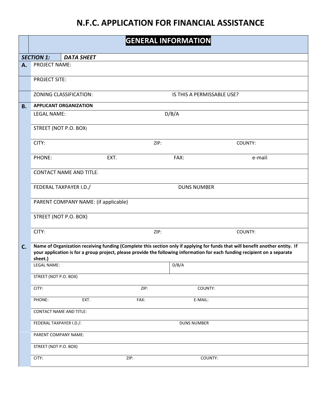## **N.F.C. APPLICATION FOR FINANCIAL ASSISTANCE**

|           | <b>GENERAL INFORMATION</b>                                                                                                                                                                                                                                             |                                      |      |                            |         |
|-----------|------------------------------------------------------------------------------------------------------------------------------------------------------------------------------------------------------------------------------------------------------------------------|--------------------------------------|------|----------------------------|---------|
|           | <b>SECTION 1:</b>                                                                                                                                                                                                                                                      | <b>DATA SHEET</b>                    |      |                            |         |
| A.        | PROJECT NAME:                                                                                                                                                                                                                                                          |                                      |      |                            |         |
|           | <b>PROJECT SITE:</b>                                                                                                                                                                                                                                                   |                                      |      |                            |         |
|           |                                                                                                                                                                                                                                                                        | ZONING CLASSIFICATION:               |      | IS THIS A PERMISSABLE USE? |         |
| <b>B.</b> |                                                                                                                                                                                                                                                                        | <b>APPLICANT ORGANIZATION</b>        |      |                            |         |
|           | <b>LEGAL NAME:</b>                                                                                                                                                                                                                                                     |                                      |      | D/B/A                      |         |
|           |                                                                                                                                                                                                                                                                        | STREET (NOT P.O. BOX)                |      |                            |         |
|           | CITY:                                                                                                                                                                                                                                                                  |                                      | ZIP: |                            | COUNTY: |
|           | PHONE:                                                                                                                                                                                                                                                                 |                                      | EXT. | FAX:                       | e-mail: |
|           |                                                                                                                                                                                                                                                                        | <b>CONTACT NAME AND TITLE:</b>       |      |                            |         |
|           |                                                                                                                                                                                                                                                                        | FEDERAL TAXPAYER I.D./               |      | <b>DUNS NUMBER</b>         |         |
|           |                                                                                                                                                                                                                                                                        | PARENT COMPANY NAME: (if applicable) |      |                            |         |
|           |                                                                                                                                                                                                                                                                        | STREET (NOT P.O. BOX)                |      |                            |         |
|           | CITY:                                                                                                                                                                                                                                                                  |                                      | ZIP: |                            | COUNTY: |
| C.        | Name of Organization receiving funding (Complete this section only if applying for funds that will benefit another entity. If<br>your application is for a group project, please provide the following information for each funding recipient on a separate<br>sheet.) |                                      |      |                            |         |
|           | <b>LEGAL NAME:</b>                                                                                                                                                                                                                                                     |                                      |      | D/B/A                      |         |
|           | STREET (NOT P.O. BOX)                                                                                                                                                                                                                                                  |                                      |      |                            |         |
|           | CITY:                                                                                                                                                                                                                                                                  |                                      | ZIP: | COUNTY:                    |         |
|           | PHONE:                                                                                                                                                                                                                                                                 | EXT.                                 | FAX: | E-MAIL:                    |         |
|           |                                                                                                                                                                                                                                                                        | <b>CONTACT NAME AND TITLE:</b>       |      |                            |         |
|           | FEDERAL TAXPAYER I.D./:                                                                                                                                                                                                                                                |                                      |      | <b>DUNS NUMBER</b>         |         |
|           | PARENT COMPANY NAME:                                                                                                                                                                                                                                                   |                                      |      |                            |         |
|           | STREET (NOT P.O. BOX)                                                                                                                                                                                                                                                  |                                      |      |                            |         |
|           | CITY:                                                                                                                                                                                                                                                                  |                                      | ZIP: | COUNTY:                    |         |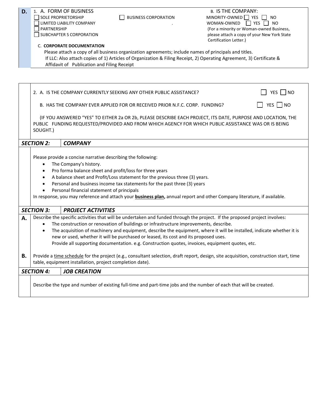| D. | PARTNERSHIP                                                                                                                                                                                                                                                                                                                                                                                                                                                                                                                               | 1. A. FORM OF BUSINESS<br>SOLE PROPRIETORSHIP<br>LIMITED LIABILITY COMPANY<br>SUBCHAPTER S CORPORATION<br><b>C. CORPORATE DOCUMENTATION</b><br>Affidavit of Publication and Filing Receipt | <b>BUSINESS CORPORATION</b><br>Please attach a copy of all business organization agreements; include names of principals and titles.                                                                               | <b>B. IS THE COMPANY:</b><br>MINORITY-OWNED YES<br>NO.<br>YES  <br>WOMAN-OWNED<br><b>NO</b><br>(For a minority or Woman-owned Business,<br>please attach a copy of your New York State<br>Certification Letter.)<br>If LLC: Also attach copies of 1) Articles of Organization & Filing Receipt, 2) Operating Agreement, 3) Certificate & |  |
|----|-------------------------------------------------------------------------------------------------------------------------------------------------------------------------------------------------------------------------------------------------------------------------------------------------------------------------------------------------------------------------------------------------------------------------------------------------------------------------------------------------------------------------------------------|--------------------------------------------------------------------------------------------------------------------------------------------------------------------------------------------|--------------------------------------------------------------------------------------------------------------------------------------------------------------------------------------------------------------------|------------------------------------------------------------------------------------------------------------------------------------------------------------------------------------------------------------------------------------------------------------------------------------------------------------------------------------------|--|
|    |                                                                                                                                                                                                                                                                                                                                                                                                                                                                                                                                           |                                                                                                                                                                                            | 2. A. IS THE COMPANY CURRENTLY SEEKING ANY OTHER PUBLIC ASSISTANCE?<br>B. HAS THE COMPANY EVER APPLIED FOR OR RECEIVED PRIOR N.F.C. CORP. FUNDING?                                                                 | YES   NO<br>YES $\Box$ NO                                                                                                                                                                                                                                                                                                                |  |
|    | SOUGHT.)                                                                                                                                                                                                                                                                                                                                                                                                                                                                                                                                  |                                                                                                                                                                                            |                                                                                                                                                                                                                    | (IF YOU ANSWERED "YES" TO EITHER 2a OR 2b, PLEASE DESCRIBE EACH PROJECT, ITS DATE, PURPOSE AND LOCATION, THE<br>PUBLIC FUNDING REQUESTED/PROVIDED AND FROM WHICH AGENCY FOR WHICH PUBLIC ASSISTANCE WAS OR IS BEING                                                                                                                      |  |
|    | <b>SECTION 2:</b>                                                                                                                                                                                                                                                                                                                                                                                                                                                                                                                         | <b>COMPANY</b>                                                                                                                                                                             |                                                                                                                                                                                                                    |                                                                                                                                                                                                                                                                                                                                          |  |
|    | $\bullet$                                                                                                                                                                                                                                                                                                                                                                                                                                                                                                                                 | Please provide a concise narrative describing the following:<br>The Company's history.<br>Personal financial statement of principals                                                       | Pro forma balance sheet and profit/loss for three years<br>A balance sheet and Profit/Loss statement for the previous three (3) years.<br>Personal and business income tax statements for the past three (3) years | In response, you may reference and attach your <b>business plan</b> , annual report and other Company literature, if available.                                                                                                                                                                                                          |  |
|    | <b>SECTION 3:</b>                                                                                                                                                                                                                                                                                                                                                                                                                                                                                                                         | <b>PROJECT ACTIVITIES</b>                                                                                                                                                                  |                                                                                                                                                                                                                    |                                                                                                                                                                                                                                                                                                                                          |  |
| Α. | Describe the specific activities that will be undertaken and funded through the project. If the proposed project involves:<br>The construction or renovation of buildings or infrastructure improvements, describe.<br>The acquisition of machinery and equipment, describe the equipment, where it will be installed, indicate whether it is<br>new or used, whether it will be purchased or leased, its cost and its proposed uses.<br>Provide all supporting documentation. e.g. Construction quotes, invoices, equipment quotes, etc. |                                                                                                                                                                                            |                                                                                                                                                                                                                    |                                                                                                                                                                                                                                                                                                                                          |  |
| В. |                                                                                                                                                                                                                                                                                                                                                                                                                                                                                                                                           | table, equipment installation, project completion date).                                                                                                                                   |                                                                                                                                                                                                                    | Provide a time schedule for the project (e.g., consultant selection, draft report, design, site acquisition, construction start, time                                                                                                                                                                                                    |  |
|    | <b>SECTION 4:</b>                                                                                                                                                                                                                                                                                                                                                                                                                                                                                                                         | <b>JOB CREATION</b>                                                                                                                                                                        |                                                                                                                                                                                                                    |                                                                                                                                                                                                                                                                                                                                          |  |
|    |                                                                                                                                                                                                                                                                                                                                                                                                                                                                                                                                           |                                                                                                                                                                                            |                                                                                                                                                                                                                    | Describe the type and number of existing full-time and part-time jobs and the number of each that will be created.                                                                                                                                                                                                                       |  |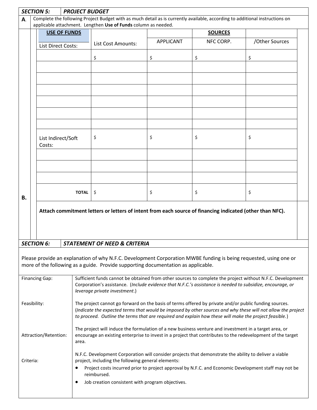|                                                                                                        | <b>SECTION 5:</b><br><b>PROJECT BUDGET</b>                                                                                   |                                                                                                          |              |                                                                                                                                                                                                                         |                  |           |                |  |  |
|--------------------------------------------------------------------------------------------------------|------------------------------------------------------------------------------------------------------------------------------|----------------------------------------------------------------------------------------------------------|--------------|-------------------------------------------------------------------------------------------------------------------------------------------------------------------------------------------------------------------------|------------------|-----------|----------------|--|--|
| A.                                                                                                     | Complete the following Project Budget with as much detail as is currently available, according to additional instructions on |                                                                                                          |              |                                                                                                                                                                                                                         |                  |           |                |  |  |
|                                                                                                        | applicable attachment. Lengthen Use of Funds column as needed.<br><b>USE OF FUNDS</b><br><b>SOURCES</b>                      |                                                                                                          |              |                                                                                                                                                                                                                         |                  |           |                |  |  |
|                                                                                                        |                                                                                                                              |                                                                                                          |              |                                                                                                                                                                                                                         |                  |           |                |  |  |
|                                                                                                        |                                                                                                                              | <b>List Direct Costs:</b>                                                                                |              | List Cost Amounts:                                                                                                                                                                                                      | <b>APPLICANT</b> | NFC CORP. | /Other Sources |  |  |
|                                                                                                        |                                                                                                                              |                                                                                                          |              |                                                                                                                                                                                                                         |                  |           |                |  |  |
|                                                                                                        |                                                                                                                              |                                                                                                          |              | \$                                                                                                                                                                                                                      | \$               | \$        | \$             |  |  |
|                                                                                                        |                                                                                                                              |                                                                                                          |              |                                                                                                                                                                                                                         |                  |           |                |  |  |
|                                                                                                        |                                                                                                                              |                                                                                                          |              |                                                                                                                                                                                                                         |                  |           |                |  |  |
|                                                                                                        |                                                                                                                              |                                                                                                          |              |                                                                                                                                                                                                                         |                  |           |                |  |  |
|                                                                                                        |                                                                                                                              |                                                                                                          |              |                                                                                                                                                                                                                         |                  |           |                |  |  |
|                                                                                                        |                                                                                                                              |                                                                                                          |              |                                                                                                                                                                                                                         |                  |           |                |  |  |
|                                                                                                        |                                                                                                                              |                                                                                                          |              |                                                                                                                                                                                                                         |                  |           |                |  |  |
|                                                                                                        |                                                                                                                              |                                                                                                          |              |                                                                                                                                                                                                                         |                  |           |                |  |  |
|                                                                                                        |                                                                                                                              |                                                                                                          |              |                                                                                                                                                                                                                         |                  |           |                |  |  |
|                                                                                                        |                                                                                                                              | List Indirect/Soft                                                                                       |              | \$                                                                                                                                                                                                                      | \$               | \$        | \$             |  |  |
|                                                                                                        |                                                                                                                              | Costs:                                                                                                   |              |                                                                                                                                                                                                                         |                  |           |                |  |  |
|                                                                                                        |                                                                                                                              |                                                                                                          |              |                                                                                                                                                                                                                         |                  |           |                |  |  |
|                                                                                                        |                                                                                                                              |                                                                                                          |              |                                                                                                                                                                                                                         |                  |           |                |  |  |
|                                                                                                        |                                                                                                                              |                                                                                                          |              |                                                                                                                                                                                                                         |                  |           |                |  |  |
|                                                                                                        |                                                                                                                              |                                                                                                          |              |                                                                                                                                                                                                                         |                  |           |                |  |  |
|                                                                                                        |                                                                                                                              |                                                                                                          |              |                                                                                                                                                                                                                         |                  |           |                |  |  |
|                                                                                                        |                                                                                                                              |                                                                                                          | <b>TOTAL</b> | \$                                                                                                                                                                                                                      | \$               | \$        | \$             |  |  |
| В.                                                                                                     |                                                                                                                              |                                                                                                          |              |                                                                                                                                                                                                                         |                  |           |                |  |  |
|                                                                                                        |                                                                                                                              | Attach commitment letters or letters of intent from each source of financing indicated (other than NFC). |              |                                                                                                                                                                                                                         |                  |           |                |  |  |
|                                                                                                        |                                                                                                                              |                                                                                                          |              |                                                                                                                                                                                                                         |                  |           |                |  |  |
|                                                                                                        |                                                                                                                              |                                                                                                          |              |                                                                                                                                                                                                                         |                  |           |                |  |  |
|                                                                                                        |                                                                                                                              |                                                                                                          |              |                                                                                                                                                                                                                         |                  |           |                |  |  |
| <b>SECTION 6:</b><br><b>STATEMENT OF NEED &amp; CRITERIA</b>                                           |                                                                                                                              |                                                                                                          |              |                                                                                                                                                                                                                         |                  |           |                |  |  |
|                                                                                                        |                                                                                                                              |                                                                                                          |              |                                                                                                                                                                                                                         |                  |           |                |  |  |
|                                                                                                        | Please provide an explanation of why N.F.C. Development Corporation MWBE funding is being requested, using one or            |                                                                                                          |              |                                                                                                                                                                                                                         |                  |           |                |  |  |
| more of the following as a guide. Provide supporting documentation as applicable.                      |                                                                                                                              |                                                                                                          |              |                                                                                                                                                                                                                         |                  |           |                |  |  |
|                                                                                                        |                                                                                                                              |                                                                                                          |              |                                                                                                                                                                                                                         |                  |           |                |  |  |
|                                                                                                        |                                                                                                                              | <b>Financing Gap:</b>                                                                                    |              | Sufficient funds cannot be obtained from other sources to complete the project without N.F.C. Development<br>Corporation's assistance. (Include evidence that N.F.C.'s assistance is needed to subsidize, encourage, or |                  |           |                |  |  |
| leverage private investment.)                                                                          |                                                                                                                              |                                                                                                          |              |                                                                                                                                                                                                                         |                  |           |                |  |  |
|                                                                                                        |                                                                                                                              |                                                                                                          |              |                                                                                                                                                                                                                         |                  |           |                |  |  |
| Feasibility:                                                                                           |                                                                                                                              |                                                                                                          |              | The project cannot go forward on the basis of terms offered by private and/or public funding sources.<br>(Indicate the expected terms that would be imposed by other sources and why these will not allow the project   |                  |           |                |  |  |
| to proceed. Outline the terms that are required and explain how these will make the project feasible.) |                                                                                                                              |                                                                                                          |              |                                                                                                                                                                                                                         |                  |           |                |  |  |
|                                                                                                        |                                                                                                                              |                                                                                                          |              |                                                                                                                                                                                                                         |                  |           |                |  |  |
|                                                                                                        |                                                                                                                              |                                                                                                          |              | The project will induce the formulation of a new business venture and investment in a target area, or                                                                                                                   |                  |           |                |  |  |
| Attraction/Retention:                                                                                  |                                                                                                                              |                                                                                                          |              | encourage an existing enterprise to invest in a project that contributes to the redevelopment of the target<br>area.                                                                                                    |                  |           |                |  |  |
|                                                                                                        |                                                                                                                              |                                                                                                          |              |                                                                                                                                                                                                                         |                  |           |                |  |  |
| N.F.C. Development Corporation will consider projects that demonstrate the ability to deliver a viable |                                                                                                                              |                                                                                                          |              |                                                                                                                                                                                                                         |                  |           |                |  |  |
| project, including the following general elements:<br>Criteria:                                        |                                                                                                                              |                                                                                                          |              |                                                                                                                                                                                                                         |                  |           |                |  |  |
| Project costs incurred prior to project approval by N.F.C. and Economic Development staff may not be   |                                                                                                                              |                                                                                                          |              |                                                                                                                                                                                                                         |                  |           |                |  |  |
| reimbursed.<br>Job creation consistent with program objectives.<br>$\bullet$                           |                                                                                                                              |                                                                                                          |              |                                                                                                                                                                                                                         |                  |           |                |  |  |
|                                                                                                        |                                                                                                                              |                                                                                                          |              |                                                                                                                                                                                                                         |                  |           |                |  |  |
|                                                                                                        |                                                                                                                              |                                                                                                          |              |                                                                                                                                                                                                                         |                  |           |                |  |  |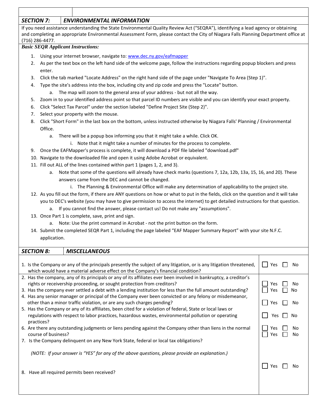#### *SECTION 7: ENVIRONMENTAL INFORMATION*

If you need assistance understanding the State Environmental Quality Review Act ("SEQRA"), identifying a lead agency or obtaining and completing an appropriate Environmental Assessment Form, please contact the City of Niagara Falls Planning Department office at (716) 286-4477.

#### *Basic SEQR Applicant Instructions:*

- 1. Using your internet browser, navigate to: [www.dec.ny.gov/eafmapper](file://///PLANNING-PC/Planning_Share/Economic%20Development%20%20Business%20Development/NFC%20ApplicationGuide%20Book/www.dec.ny.gov/eafmapper)
- 2. As per the text box on the left hand side of the welcome page, follow the instructions regarding popup blockers and press enter.
- 3. Click the tab marked "Locate Address" on the right hand side of the page under "Navigate To Area (Step 1)".
- 4. Type the site's address into the box, including city and zip code and press the "Locate" button.
	- a. The map will zoom to the general area of your address but not all the way.
- 5. Zoom in to your identified address point so that parcel ID numbers are visible and you can identify your exact property.
- 6. Click "Select Tax Parcel" under the section labeled "Define Project Site (Step 2)".
- 7. Select your property with the mouse.
- 8. Click "Short Form" in the last box on the bottom, unless instructed otherwise by Niagara Falls' Planning / Environmental Office.
	- a. There will be a popup box informing you that it might take a while. Click OK.
		- i. Note that it might take a number of minutes for the process to complete.
- 9. Once the EAFMapper's process is complete, it will download a PDF file labeled "download.pdf"
- 10. Navigate to the downloaded file and open it using Adobe Acrobat or equivalent.
- 11. Fill out ALL of the lines contained within part 1 (pages 1, 2, and 3).
	- a. Note that some of the questions will already have check marks (questions 7, 12a, 12b, 13a, 15, 16, and 20). These answers came from the DEC and cannot be changed.
		- i. The Planning & Environmental Office will make any determination of applicability to the project site.
- 12. As you fill out the form, if there are ANY questions on how or what to put in the fields, click on the question and it will take you to DEC's website (you may have to give permission to access the internet) to get detailed instructions for that question.
	- a. If you cannot find the answer, please contact us! Do not make any "assumptions".
- 13. Once Part 1 is complete, save, print and sign.
	- a. Note: Use the print command in Acrobat not the print button on the form.
- 14. Submit the completed SEQR Part 1, including the page labeled "EAF Mapper Summary Report" with your site N.F.C. application.

| <b>SECTION 8:</b>                                                                                                                                                                                                                                                                                                                                                                                                                                                                                                                                                                                                                                                                                                      | <b>MISCELLANEOUS</b>                                                                                                                                                                                                  |            |          |                      |  |  |
|------------------------------------------------------------------------------------------------------------------------------------------------------------------------------------------------------------------------------------------------------------------------------------------------------------------------------------------------------------------------------------------------------------------------------------------------------------------------------------------------------------------------------------------------------------------------------------------------------------------------------------------------------------------------------------------------------------------------|-----------------------------------------------------------------------------------------------------------------------------------------------------------------------------------------------------------------------|------------|----------|----------------------|--|--|
|                                                                                                                                                                                                                                                                                                                                                                                                                                                                                                                                                                                                                                                                                                                        | 1. Is the Company or any of the principals presently the subject of any litigation, or is any litigation threatened,<br>Yes<br>Nο<br>which would have a material adverse effect on the Company's financial condition? |            |          |                      |  |  |
| 2. Has the company, any of its principals or any of its affiliates ever been involved in bankruptcy, a creditor's<br>rights or receivership proceeding, or sought protection from creditors?<br>3. Has the company ever settled a debt with a lending institution for less than the full amount outstanding?<br>4. Has any senior manager or principal of the Company ever been convicted or any felony or misdemeanor,<br>other than a minor traffic violation, or are any such charges pending?<br>5. Has the Company or any of its affiliates, been cited for a violation of federal, State or local laws or<br>regulations with respect to labor practices, hazardous wastes, environmental pollution or operating |                                                                                                                                                                                                                       |            |          | No<br>No<br>Nο<br>No |  |  |
| practices?<br>course of business?                                                                                                                                                                                                                                                                                                                                                                                                                                                                                                                                                                                                                                                                                      | 6. Are there any outstanding judgments or liens pending against the Company other than liens in the normal<br>7. Is the Company delinquent on any New York State, federal or local tax obligations?                   | Yes<br>Yes | No<br>No |                      |  |  |
|                                                                                                                                                                                                                                                                                                                                                                                                                                                                                                                                                                                                                                                                                                                        | (NOTE: If your answer is "YES" for any of the above questions, please provide an explanation.)<br>8. Have all required permits been received?                                                                         | Yes        |          |                      |  |  |